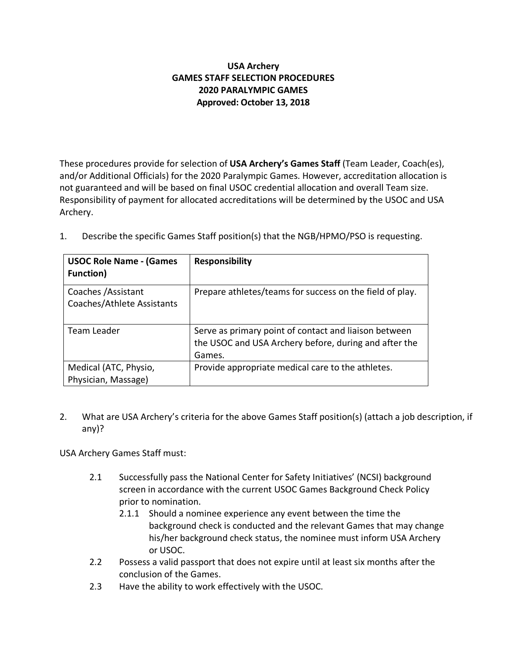# **USA Archery GAMES STAFF SELECTION PROCEDURES 2020 PARALYMPIC GAMES Approved: October 13, 2018**

These procedures provide for selection of **USA Archery's Games Staff** (Team Leader, Coach(es), and/or Additional Officials) for the 2020 Paralympic Games. However, accreditation allocation is not guaranteed and will be based on final USOC credential allocation and overall Team size. Responsibility of payment for allocated accreditations will be determined by the USOC and USA Archery.

| <b>USOC Role Name - (Games</b><br><b>Function</b> ) | <b>Responsibility</b>                                                                                                    |
|-----------------------------------------------------|--------------------------------------------------------------------------------------------------------------------------|
| Coaches / Assistant<br>Coaches/Athlete Assistants   | Prepare athletes/teams for success on the field of play.                                                                 |
| Team Leader                                         | Serve as primary point of contact and liaison between<br>the USOC and USA Archery before, during and after the<br>Games. |
| Medical (ATC, Physio,<br>Physician, Massage)        | Provide appropriate medical care to the athletes.                                                                        |

1. Describe the specific Games Staff position(s) that the NGB/HPMO/PSO is requesting.

2. What are USA Archery's criteria for the above Games Staff position(s) (attach a job description, if any)?

USA Archery Games Staff must:

- 2.1 Successfully pass the National Center for Safety Initiatives' (NCSI) background screen in accordance with the current USOC Games Background Check Policy prior to nomination.
	- 2.1.1 Should a nominee experience any event between the time the background check is conducted and the relevant Games that may change his/her background check status, the nominee must inform USA Archery or USOC.
- 2.2 Possess a valid passport that does not expire until at least six months after the conclusion of the Games.
- 2.3 Have the ability to work effectively with the USOC.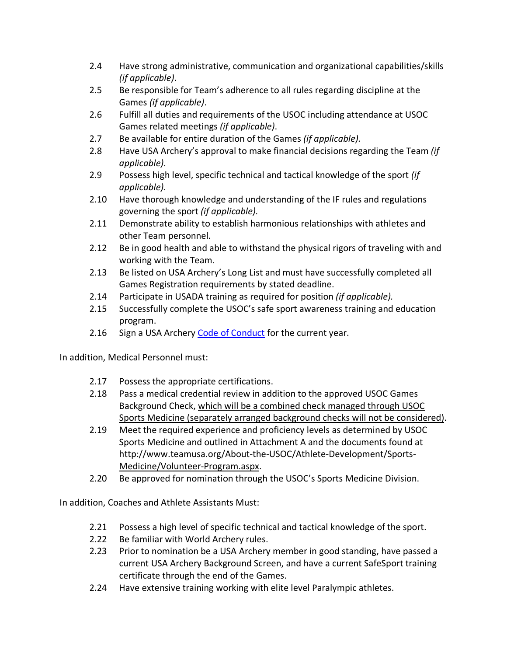- 2.4 Have strong administrative, communication and organizational capabilities/skills *(if applicable)*.
- 2.5 Be responsible for Team's adherence to all rules regarding discipline at the Games *(if applicable)*.
- 2.6 Fulfill all duties and requirements of the USOC including attendance at USOC Games related meetings *(if applicable)*.
- 2.7 Be available for entire duration of the Games *(if applicable).*
- 2.8 Have USA Archery's approval to make financial decisions regarding the Team *(if applicable)*.
- 2.9 Possess high level, specific technical and tactical knowledge of the sport *(if applicable).*
- 2.10 Have thorough knowledge and understanding of the IF rules and regulations governing the sport *(if applicable).*
- 2.11 Demonstrate ability to establish harmonious relationships with athletes and other Team personnel*.*
- 2.12 Be in good health and able to withstand the physical rigors of traveling with and working with the Team.
- 2.13 Be listed on USA Archery's Long List and must have successfully completed all Games Registration requirements by stated deadline.
- 2.14 Participate in USADA training as required for position *(if applicable).*
- 2.15 Successfully complete the USOC's safe sport awareness training and education program.
- 2.16 Sign a USA Archery Code of Conduct for the current year.

In addition, Medical Personnel must:

- 2.17 Possess the appropriate certifications.
- 2.18 Pass a medical credential review in addition to the approved USOC Games Background Check, which will be a combined check managed through USOC Sports Medicine (separately arranged background checks will not be considered).
- 2.19 Meet the required experience and proficiency levels as determined by USOC Sports Medicine and outlined in Attachment A and the documents found at http://www.teamusa.org/About-the-USOC/Athlete-Development/Sports-Medicine/Volunteer-Program.aspx.
- 2.20 Be approved for nomination through the USOC's Sports Medicine Division.

In addition, Coaches and Athlete Assistants Must:

- 2.21 Possess a high level of specific technical and tactical knowledge of the sport.
- 2.22 Be familiar with World Archery rules.
- 2.23 Prior to nomination be a USA Archery member in good standing, have passed a current USA Archery Background Screen, and have a current SafeSport training certificate through the end of the Games.
- 2.24 Have extensive training working with elite level Paralympic athletes.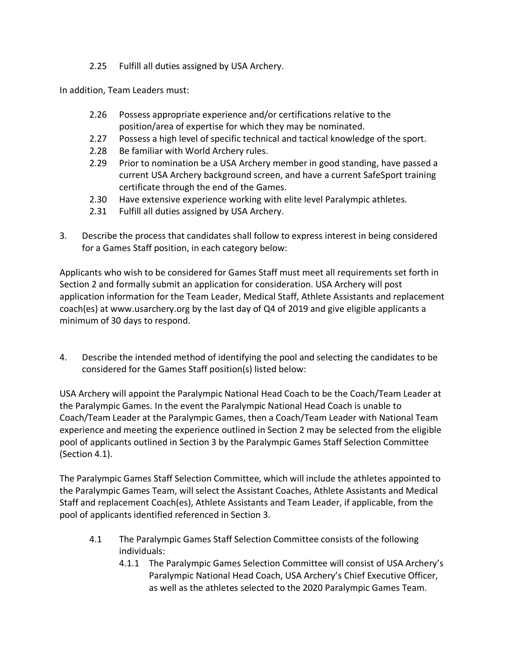2.25 Fulfill all duties assigned by USA Archery.

In addition, Team Leaders must:

- 2.26 Possess appropriate experience and/or certifications relative to the position/area of expertise for which they may be nominated.
- 2.27 Possess a high level of specific technical and tactical knowledge of the sport.
- 2.28 Be familiar with World Archery rules.
- 2.29 Prior to nomination be a USA Archery member in good standing, have passed a current USA Archery background screen, and have a current SafeSport training certificate through the end of the Games.
- 2.30 Have extensive experience working with elite level Paralympic athletes.
- 2.31 Fulfill all duties assigned by USA Archery.
- 3. Describe the process that candidates shall follow to express interest in being considered for a Games Staff position, in each category below:

Applicants who wish to be considered for Games Staff must meet all requirements set forth in Section 2 and formally submit an application for consideration. USA Archery will post application information for the Team Leader, Medical Staff, Athlete Assistants and replacement coach(es) at www.usarchery.org by the last day of Q4 of 2019 and give eligible applicants a minimum of 30 days to respond.

4. Describe the intended method of identifying the pool and selecting the candidates to be considered for the Games Staff position(s) listed below:

USA Archery will appoint the Paralympic National Head Coach to be the Coach/Team Leader at the Paralympic Games. In the event the Paralympic National Head Coach is unable to Coach/Team Leader at the Paralympic Games, then a Coach/Team Leader with National Team experience and meeting the experience outlined in Section 2 may be selected from the eligible pool of applicants outlined in Section 3 by the Paralympic Games Staff Selection Committee (Section 4.1).

The Paralympic Games Staff Selection Committee, which will include the athletes appointed to the Paralympic Games Team, will select the Assistant Coaches, Athlete Assistants and Medical Staff and replacement Coach(es), Athlete Assistants and Team Leader, if applicable, from the pool of applicants identified referenced in Section 3.

- 4.1 The Paralympic Games Staff Selection Committee consists of the following individuals:
	- 4.1.1 The Paralympic Games Selection Committee will consist of USA Archery's Paralympic National Head Coach, USA Archery's Chief Executive Officer, as well as the athletes selected to the 2020 Paralympic Games Team.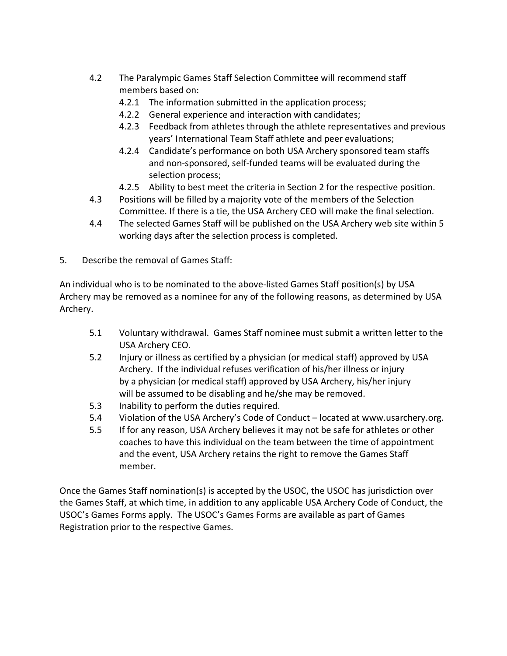- 4.2 The Paralympic Games Staff Selection Committee will recommend staff members based on:
	- 4.2.1 The information submitted in the application process;
	- 4.2.2 General experience and interaction with candidates;
	- 4.2.3 Feedback from athletes through the athlete representatives and previous years' International Team Staff athlete and peer evaluations;
	- 4.2.4 Candidate's performance on both USA Archery sponsored team staffs and non-sponsored, self-funded teams will be evaluated during the selection process;
	- 4.2.5 Ability to best meet the criteria in Section 2 for the respective position.
- 4.3 Positions will be filled by a majority vote of the members of the Selection Committee. If there is a tie, the USA Archery CEO will make the final selection.
- 4.4 The selected Games Staff will be published on the USA Archery web site within 5 working days after the selection process is completed.
- 5. Describe the removal of Games Staff:

An individual who is to be nominated to the above-listed Games Staff position(s) by USA Archery may be removed as a nominee for any of the following reasons, as determined by USA Archery.

- 5.1 Voluntary withdrawal. Games Staff nominee must submit a written letter to the USA Archery CEO.
- 5.2 Injury or illness as certified by a physician (or medical staff) approved by USA Archery. If the individual refuses verification of his/her illness or injury by a physician (or medical staff) approved by USA Archery, his/her injury will be assumed to be disabling and he/she may be removed.
- 5.3 Inability to perform the duties required.
- 5.4 Violation of the USA Archery's Code of Conduct located at www.usarchery.org.
- 5.5 If for any reason, USA Archery believes it may not be safe for athletes or other coaches to have this individual on the team between the time of appointment and the event, USA Archery retains the right to remove the Games Staff member.

Once the Games Staff nomination(s) is accepted by the USOC, the USOC has jurisdiction over the Games Staff, at which time, in addition to any applicable USA Archery Code of Conduct, the USOC's Games Forms apply. The USOC's Games Forms are available as part of Games Registration prior to the respective Games.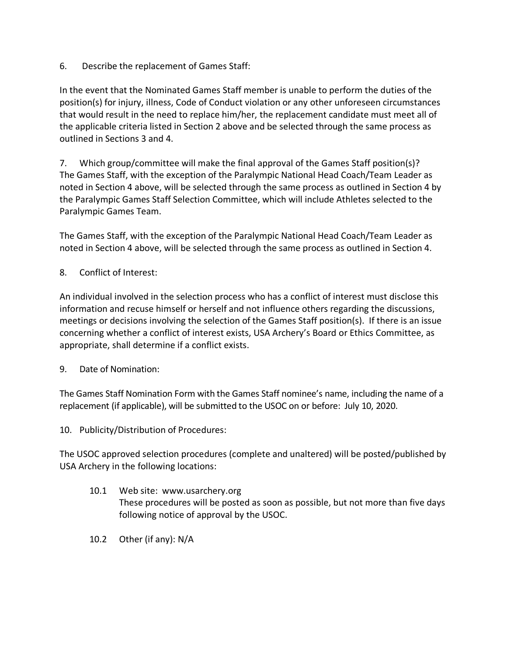6. Describe the replacement of Games Staff:

In the event that the Nominated Games Staff member is unable to perform the duties of the position(s) for injury, illness, Code of Conduct violation or any other unforeseen circumstances that would result in the need to replace him/her, the replacement candidate must meet all of the applicable criteria listed in Section 2 above and be selected through the same process as outlined in Sections 3 and 4.

7. Which group/committee will make the final approval of the Games Staff position(s)? The Games Staff, with the exception of the Paralympic National Head Coach/Team Leader as noted in Section 4 above, will be selected through the same process as outlined in Section 4 by the Paralympic Games Staff Selection Committee, which will include Athletes selected to the Paralympic Games Team.

The Games Staff, with the exception of the Paralympic National Head Coach/Team Leader as noted in Section 4 above, will be selected through the same process as outlined in Section 4.

8. Conflict of Interest:

An individual involved in the selection process who has a conflict of interest must disclose this information and recuse himself or herself and not influence others regarding the discussions, meetings or decisions involving the selection of the Games Staff position(s). If there is an issue concerning whether a conflict of interest exists, USA Archery's Board or Ethics Committee, as appropriate, shall determine if a conflict exists.

9. Date of Nomination:

The Games Staff Nomination Form with the Games Staff nominee's name, including the name of a replacement (if applicable), will be submitted to the USOC on or before: July 10, 2020.

10. Publicity/Distribution of Procedures:

The USOC approved selection procedures (complete and unaltered) will be posted/published by USA Archery in the following locations:

- 10.1 Web site: www.usarchery.org These procedures will be posted as soon as possible, but not more than five days following notice of approval by the USOC.
- 10.2 Other (if any): N/A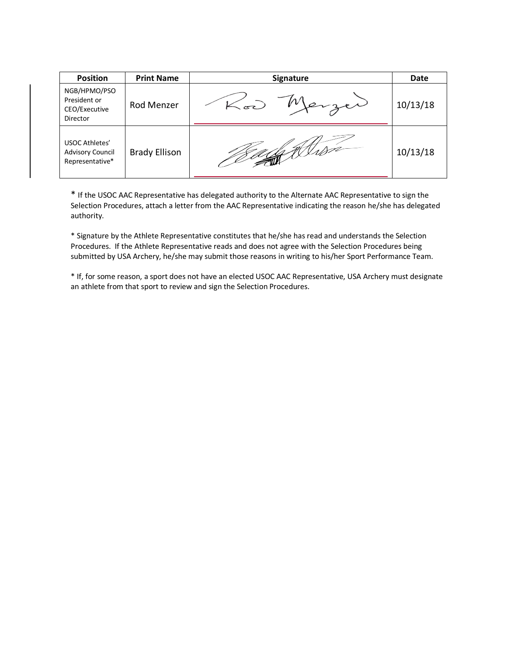| <b>Position</b>                                              | <b>Print Name</b>    | <b>Signature</b> | Date     |
|--------------------------------------------------------------|----------------------|------------------|----------|
| NGB/HPMO/PSO<br>President or<br>CEO/Executive<br>Director    | Rod Menzer           |                  | 10/13/18 |
| USOC Athletes'<br><b>Advisory Council</b><br>Representative* | <b>Brady Ellison</b> |                  | 10/13/18 |

\* If the USOC AAC Representative has delegated authority to the Alternate AAC Representative to sign the Selection Procedures, attach a letter from the AAC Representative indicating the reason he/she has delegated authority.

\* Signature by the Athlete Representative constitutes that he/she has read and understands the Selection Procedures. If the Athlete Representative reads and does not agree with the Selection Procedures being submitted by USA Archery, he/she may submit those reasons in writing to his/her Sport Performance Team.

\* If, for some reason, a sport does not have an elected USOC AAC Representative, USA Archery must designate an athlete from that sport to review and sign the Selection Procedures.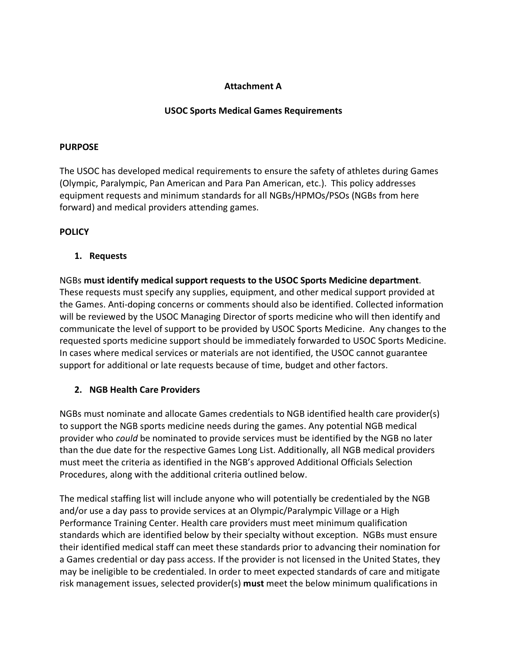# **Attachment A**

## **USOC Sports Medical Games Requirements**

#### **PURPOSE**

The USOC has developed medical requirements to ensure the safety of athletes during Games (Olympic, Paralympic, Pan American and Para Pan American, etc.). This policy addresses equipment requests and minimum standards for all NGBs/HPMOs/PSOs (NGBs from here forward) and medical providers attending games.

### **POLICY**

### **1. Requests**

NGBs **must identify medical support requests to the USOC Sports Medicine department**. These requests must specify any supplies, equipment, and other medical support provided at the Games. Anti-doping concerns or comments should also be identified. Collected information will be reviewed by the USOC Managing Director of sports medicine who will then identify and communicate the level of support to be provided by USOC Sports Medicine. Any changes to the requested sports medicine support should be immediately forwarded to USOC Sports Medicine. In cases where medical services or materials are not identified, the USOC cannot guarantee support for additional or late requests because of time, budget and other factors.

# **2. NGB Health Care Providers**

NGBs must nominate and allocate Games credentials to NGB identified health care provider(s) to support the NGB sports medicine needs during the games. Any potential NGB medical provider who *could* be nominated to provide services must be identified by the NGB no later than the due date for the respective Games Long List. Additionally, all NGB medical providers must meet the criteria as identified in the NGB's approved Additional Officials Selection Procedures, along with the additional criteria outlined below.

The medical staffing list will include anyone who will potentially be credentialed by the NGB and/or use a day pass to provide services at an Olympic/Paralympic Village or a High Performance Training Center. Health care providers must meet minimum qualification standards which are identified below by their specialty without exception. NGBs must ensure their identified medical staff can meet these standards prior to advancing their nomination for a Games credential or day pass access. If the provider is not licensed in the United States, they may be ineligible to be credentialed. In order to meet expected standards of care and mitigate risk management issues, selected provider(s) **must** meet the below minimum qualifications in